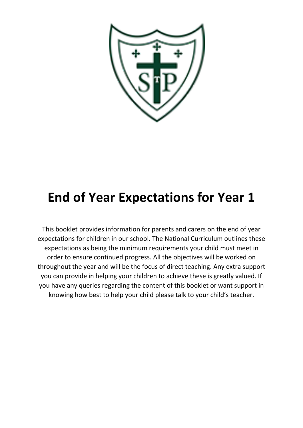

### **End of Year Expectations for Year 1**

This booklet provides information for parents and carers on the end of year expectations for children in our school. The National Curriculum outlines these expectations as being the minimum requirements your child must meet in order to ensure continued progress. All the objectives will be worked on throughout the year and will be the focus of direct teaching. Any extra support you can provide in helping your children to achieve these is greatly valued. If you have any queries regarding the content of this booklet or want support in knowing how best to help your child please talk to your child's teacher.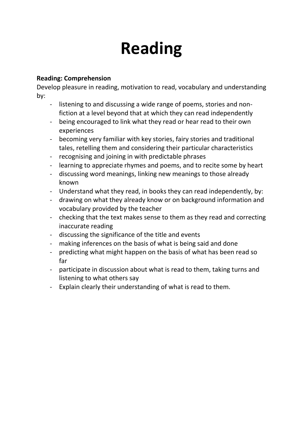## **Reading**

### **Reading: Comprehension**

Develop pleasure in reading, motivation to read, vocabulary and understanding by:

- listening to and discussing a wide range of poems, stories and nonfiction at a level beyond that at which they can read independently
- being encouraged to link what they read or hear read to their own experiences
- becoming very familiar with key stories, fairy stories and traditional tales, retelling them and considering their particular characteristics
- recognising and joining in with predictable phrases
- learning to appreciate rhymes and poems, and to recite some by heart
- discussing word meanings, linking new meanings to those already known
- Understand what they read, in books they can read independently, by:
- drawing on what they already know or on background information and vocabulary provided by the teacher
- checking that the text makes sense to them as they read and correcting inaccurate reading
- discussing the significance of the title and events
- making inferences on the basis of what is being said and done
- predicting what might happen on the basis of what has been read so far
- participate in discussion about what is read to them, taking turns and listening to what others say
- Explain clearly their understanding of what is read to them.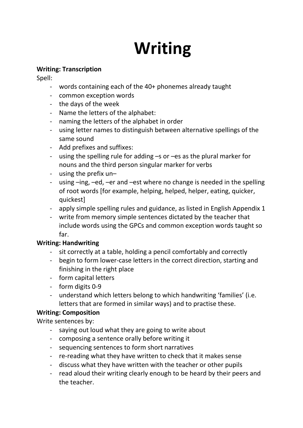# **Writing**

#### **Writing: Transcription**

Spell:

- words containing each of the 40+ phonemes already taught
- common exception words
- the days of the week
- Name the letters of the alphabet:
- naming the letters of the alphabet in order
- using letter names to distinguish between alternative spellings of the same sound
- Add prefixes and suffixes:
- using the spelling rule for adding –s or –es as the plural marker for nouns and the third person singular marker for verbs
- using the prefix un–
- using –ing, –ed, –er and –est where no change is needed in the spelling of root words [for example, helping, helped, helper, eating, quicker, quickest]
- apply simple spelling rules and guidance, as listed in English Appendix 1
- write from memory simple sentences dictated by the teacher that include words using the GPCs and common exception words taught so far.

### **Writing: Handwriting**

- sit correctly at a table, holding a pencil comfortably and correctly
- begin to form lower-case letters in the correct direction, starting and finishing in the right place
- form capital letters
- form digits 0-9
- understand which letters belong to which handwriting 'families' (i.e. letters that are formed in similar ways) and to practise these.

### **Writing: Composition**

Write sentences by:

- saying out loud what they are going to write about
- composing a sentence orally before writing it
- sequencing sentences to form short narratives
- re-reading what they have written to check that it makes sense
- discuss what they have written with the teacher or other pupils
- read aloud their writing clearly enough to be heard by their peers and the teacher.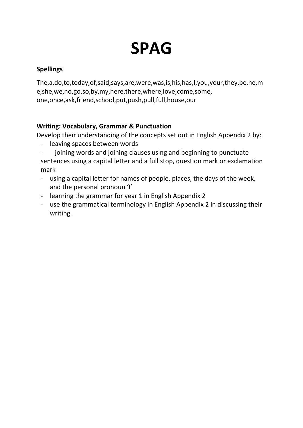## **SPAG**

### **Spellings**

The,a,do,to,today,of,said,says,are,were,was,is,his,has,I,you,your,they,be,he,m e,she,we,no,go,so,by,my,here,there,where,love,come,some, one,once,ask,friend,school,put,push,pull,full,house,our

### **Writing: Vocabulary, Grammar & Punctuation**

Develop their understanding of the concepts set out in English Appendix 2 by:

- leaving spaces between words
- joining words and joining clauses using and beginning to punctuate sentences using a capital letter and a full stop, question mark or exclamation mark
- using a capital letter for names of people, places, the days of the week, and the personal pronoun 'I'
- learning the grammar for year 1 in English Appendix 2
- use the grammatical terminology in English Appendix 2 in discussing their writing.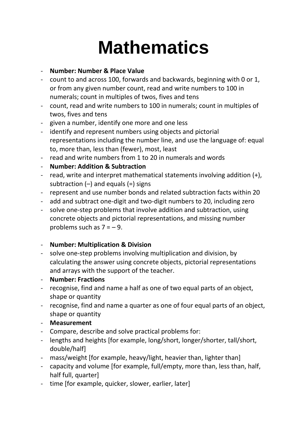# **Mathematics**

### - **Number: Number & Place Value**

- count to and across 100, forwards and backwards, beginning with 0 or 1, or from any given number count, read and write numbers to 100 in numerals; count in multiples of twos, fives and tens
- count, read and write numbers to 100 in numerals; count in multiples of twos, fives and tens
- given a number, identify one more and one less
- identify and represent numbers using objects and pictorial representations including the number line, and use the language of: equal to, more than, less than (fewer), most, least
- read and write numbers from 1 to 20 in numerals and words
- **Number: Addition & Subtraction**
- read, write and interpret mathematical statements involving addition (+), subtraction  $(-)$  and equals  $(=)$  signs
- represent and use number bonds and related subtraction facts within 20
- add and subtract one-digit and two-digit numbers to 20, including zero
- solve one-step problems that involve addition and subtraction, using concrete objects and pictorial representations, and missing number problems such as  $7 = -9$ .

#### - **Number: Multiplication & Division**

- solve one-step problems involving multiplication and division, by calculating the answer using concrete objects, pictorial representations and arrays with the support of the teacher.
- **Number: Fractions**
- recognise, find and name a half as one of two equal parts of an object, shape or quantity
- recognise, find and name a quarter as one of four equal parts of an object, shape or quantity
- **Measurement**
- Compare, describe and solve practical problems for:
- lengths and heights [for example, long/short, longer/shorter, tall/short, double/half]
- mass/weight [for example, heavy/light, heavier than, lighter than]
- capacity and volume [for example, full/empty, more than, less than, half, half full, quarter]
- time [for example, quicker, slower, earlier, later]